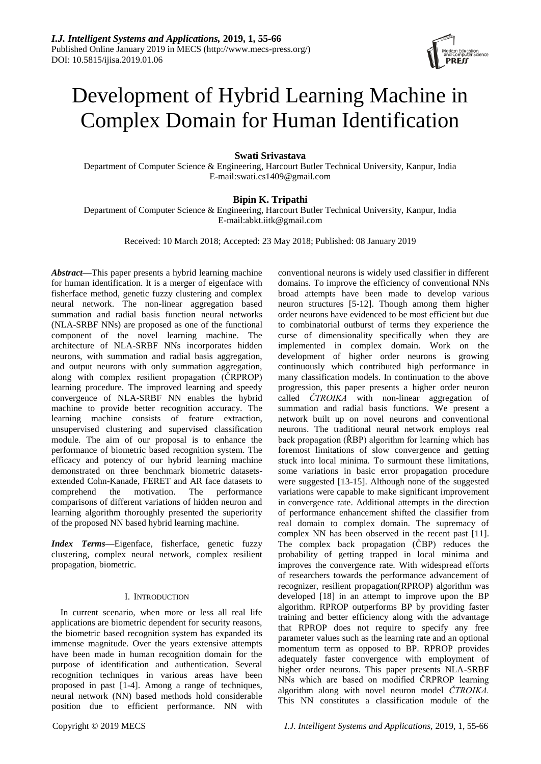

# Development of Hybrid Learning Machine in Complex Domain for Human Identification

# **Swati Srivastava**

Department of Computer Science & Engineering, Harcourt Butler Technical University, Kanpur, India E-mail:swati.cs1409@gmail.com

# **Bipin K. Tripathi**

Department of Computer Science & Engineering, Harcourt Butler Technical University, Kanpur, India E-mail:abkt.iitk@gmail.com

Received: 10 March 2018; Accepted: 23 May 2018; Published: 08 January 2019

*Abstract***—**This paper presents a hybrid learning machine for human identification. It is a merger of eigenface with fisherface method, genetic fuzzy clustering and complex neural network. The non-linear aggregation based summation and radial basis function neural networks (NLA-SRBF NNs) are proposed as one of the functional component of the novel learning machine. The architecture of NLA-SRBF NNs incorporates hidden neurons, with summation and radial basis aggregation, and output neurons with only summation aggregation, along with complex resilient propagation (ČRPROP) learning procedure. The improved learning and speedy convergence of NLA-SRBF NN enables the hybrid machine to provide better recognition accuracy. The learning machine consists of feature extraction, unsupervised clustering and supervised classification module. The aim of our proposal is to enhance the performance of biometric based recognition system. The efficacy and potency of our hybrid learning machine demonstrated on three benchmark biometric datasetsextended Cohn-Kanade, FERET and AR face datasets to comprehend the motivation. The performance comparisons of different variations of hidden neuron and learning algorithm thoroughly presented the superiority of the proposed NN based hybrid learning machine.

*Index Terms***—**Eigenface, fisherface, genetic fuzzy clustering, complex neural network, complex resilient propagation, biometric.

# I. INTRODUCTION

In current scenario, when more or less all real life applications are biometric dependent for security reasons, the biometric based recognition system has expanded its immense magnitude. Over the years extensive attempts have been made in human recognition domain for the purpose of identification and authentication. Several recognition techniques in various areas have been proposed in past [1-4]. Among a range of techniques, neural network (NN) based methods hold considerable position due to efficient performance. NN with

to combinatorial outburst of terms they experience the curse of dimensionality specifically when they are implemented in complex domain. Work on the development of higher order neurons is growing continuously which contributed high performance in many classification models. In continuation to the above progression, this paper presents a higher order neuron called *ČTROIKA* with non-linear aggregation of summation and radial basis functions. We present a network built up on novel neurons and conventional neurons. The traditional neural network employs real back propagation (ŘBP) algorithm for learning which has foremost limitations of slow convergence and getting stuck into local minima. To surmount these limitations, some variations in basic error propagation procedure were suggested [13-15]. Although none of the suggested variations were capable to make significant improvement in convergence rate. Additional attempts in the direction of performance enhancement shifted the classifier from real domain to complex domain. The supremacy of complex NN has been observed in the recent past [11]. The complex back propagation (ČBP) reduces the probability of getting trapped in local minima and improves the convergence rate. With widespread efforts of researchers towards the performance advancement of recognizer, resilient propagation(RPROP) algorithm was developed [18] in an attempt to improve upon the BP algorithm. RPROP outperforms BP by providing faster training and better efficiency along with the advantage that RPROP does not require to specify any free parameter values such as the learning rate and an optional momentum term as opposed to BP. RPROP provides adequately faster convergence with employment of higher order neurons. This paper presents NLA-SRBF NNs which are based on modified ČRPROP learning algorithm along with novel neuron model *ČTROIKA.*  This NN constitutes a classification module of the

conventional neurons is widely used classifier in different domains. To improve the efficiency of conventional NNs broad attempts have been made to develop various neuron structures [5-12]. Though among them higher order neurons have evidenced to be most efficient but due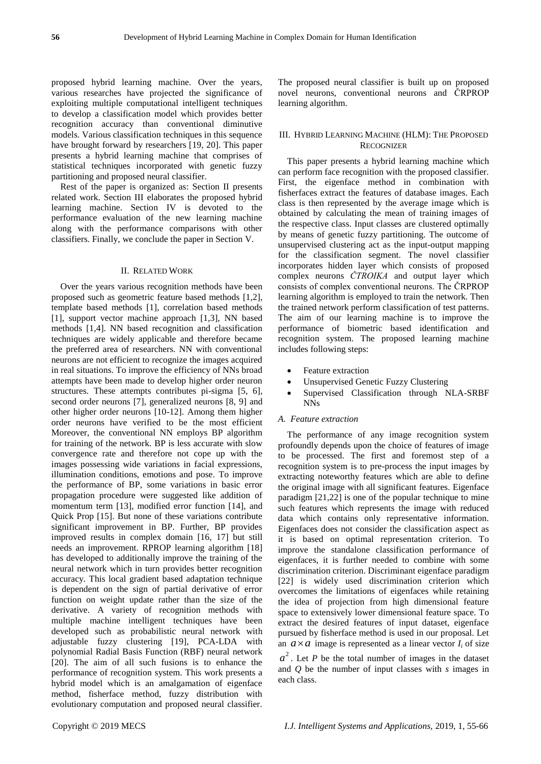proposed hybrid learning machine. Over the years, various researches have projected the significance of exploiting multiple computational intelligent techniques to develop a classification model which provides better recognition accuracy than conventional diminutive models. Various classification techniques in this sequence have brought forward by researchers [19, 20]. This paper presents a hybrid learning machine that comprises of statistical techniques incorporated with genetic fuzzy partitioning and proposed neural classifier.

Rest of the paper is organized as: Section II presents related work. Section III elaborates the proposed hybrid learning machine. Section IV is devoted to the performance evaluation of the new learning machine along with the performance comparisons with other classifiers. Finally, we conclude the paper in Section V.

#### II. RELATED WORK

Over the years various recognition methods have been proposed such as geometric feature based methods [1,2], template based methods [1], correlation based methods [1], support vector machine approach [1,3], NN based methods [1,4]. NN based recognition and classification techniques are widely applicable and therefore became the preferred area of researchers. NN with conventional neurons are not efficient to recognize the images acquired in real situations. To improve the efficiency of NNs broad attempts have been made to develop higher order neuron structures. These attempts contributes pi-sigma [5, 6], second order neurons [7], generalized neurons [8, 9] and other higher order neurons [10-12]. Among them higher order neurons have verified to be the most efficient Moreover, the conventional NN employs BP algorithm for training of the network. BP is less accurate with slow convergence rate and therefore not cope up with the images possessing wide variations in facial expressions, illumination conditions, emotions and pose. To improve the performance of BP, some variations in basic error propagation procedure were suggested like addition of momentum term [13], modified error function [14], and Quick Prop [15]. But none of these variations contribute significant improvement in BP. Further, BP provides improved results in complex domain [16, 17] but still needs an improvement. RPROP learning algorithm [18] has developed to additionally improve the training of the neural network which in turn provides better recognition accuracy. This local gradient based adaptation technique is dependent on the sign of partial derivative of error function on weight update rather than the size of the derivative. A variety of recognition methods with multiple machine intelligent techniques have been developed such as probabilistic neural network with adjustable fuzzy clustering [19], PCA-LDA with polynomial Radial Basis Function (RBF) neural network [20]. The aim of all such fusions is to enhance the performance of recognition system. This work presents a hybrid model which is an amalgamation of eigenface method, fisherface method, fuzzy distribution with evolutionary computation and proposed neural classifier.

The proposed neural classifier is built up on proposed novel neurons, conventional neurons and ČRPROP learning algorithm.

## III. HYBRID LEARNING MACHINE (HLM): THE PROPOSED **RECOGNIZER**

This paper presents a hybrid learning machine which can perform face recognition with the proposed classifier. First, the eigenface method in combination with fisherfaces extract the features of database images. Each class is then represented by the average image which is obtained by calculating the mean of training images of the respective class. Input classes are clustered optimally by means of genetic fuzzy partitioning. The outcome of unsupervised clustering act as the input-output mapping for the classification segment. The novel classifier incorporates hidden layer which consists of proposed complex neurons *ČTROIKA* and output layer which consists of complex conventional neurons. The ČRPROP learning algorithm is employed to train the network. Then the trained network perform classification of test patterns. The aim of our learning machine is to improve the performance of biometric based identification and recognition system. The proposed learning machine includes following steps:

- Feature extraction
- Unsupervised Genetic Fuzzy Clustering
- Supervised Classification through NLA-SRBF NNs

#### *A. Feature extraction*

The performance of any image recognition system profoundly depends upon the choice of features of image to be processed. The first and foremost step of a recognition system is to pre-process the input images by extracting noteworthy features which are able to define the original image with all significant features. Eigenface paradigm [21,22] is one of the popular technique to mine such features which represents the image with reduced data which contains only representative information. Eigenfaces does not consider the classification aspect as it is based on optimal representation criterion. To improve the standalone classification performance of eigenfaces, it is further needed to combine with some discrimination criterion. Discriminant eigenface paradigm [22] is widely used discrimination criterion which overcomes the limitations of eigenfaces while retaining the idea of projection from high dimensional feature space to extensively lower dimensional feature space. To extract the desired features of input dataset, eigenface pursued by fisherface method is used in our proposal. Let an  $a \times a$  image is represented as a linear vector  $I_i$  of size

 $a^2$ . Let *P* be the total number of images in the dataset and *Q* be the number of input classes with *s* images in each class.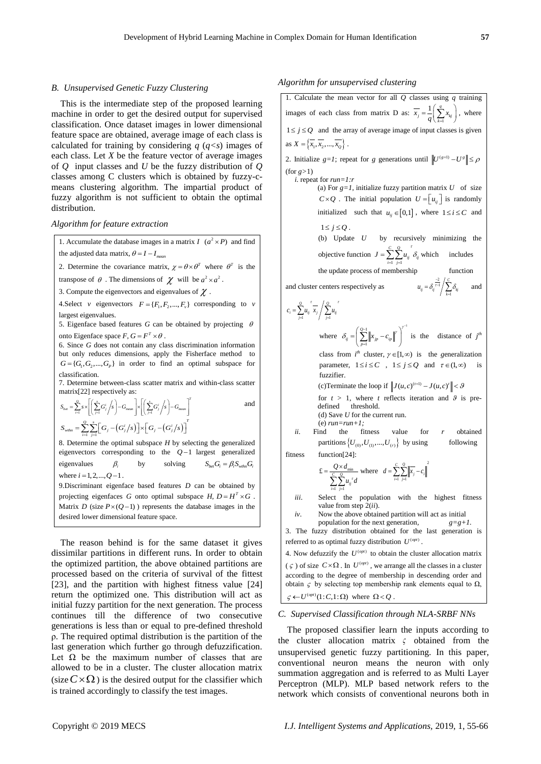## *B. Unsupervised Genetic Fuzzy Clustering*

This is the intermediate step of the proposed learning machine in order to get the desired output for supervised classification. Once dataset images in lower dimensional feature space are obtained, average image of each class is calculated for training by considering  $q$  ( $q \lt s$ ) images of each class. Let *X* be the feature vector of average images of *Q* input classes and *U* be the fuzzy distribution of *Q* classes among C clusters which is obtained by fuzzy-cmeans clustering algorithm. The impartial product of fuzzy algorithm is not sufficient to obtain the optimal distribution.

#### *Algorithm for feature extraction*

1. Accumulate the database images in a matrix  $I$   $(a^2 \times P)$  and find the adjusted data matrix,  $\theta = I - I_{mean}$ 

2. Determine the covariance matrix,  $\chi = \theta \times \theta^T$  where  $\theta^T$  is the

transpose of  $\theta$ . The dimensions of  $\chi$  will be  $a^2 \times a^2$ .

3. Compute the eigenvectors and eigenvalues of  $\chi$ .

4. Select *v* eigenvectors  $F = \{F_1, F_2, ..., F_v\}$  corresponding to *v* largest eigenvalues.

5. Eigenface based features  $G$  can be obtained by projecting  $\theta$ onto Eigenface space *F*,  $G = F^T \times \theta$ .

6. Since *G* does not contain any class discrimination information but only reduces dimensions, apply the Fisherface method to  $G = \{G_1, G_2, ..., G_p\}$  in order to find an optimal subspace for classification.

7. Determine between-class scatter matrix and within-class scatter

matrix[22] respectively as:  
\n
$$
S_{\text{best}} = \sum_{i=1}^{Q} s \times \left[ \left( \sum_{j=1}^{s} G_j^{i} / s \right) - G_{\text{mean}} \right] \times \left[ \left( \sum_{j=1}^{s} G_j^{i} / s \right) - G_{\text{mean}} \right]^{T}
$$
\nand\n
$$
S_{\text{with}} = \sum_{i=1}^{Q} \sum_{j=1}^{s} \left[ G_j - \left( G_j^{i} / s \right) \right] \times \left[ G_j - \left( G_j^{i} / s \right) \right]^{T}
$$

8. Determine the optimal subspace *H* by selecting the generalized eigenvectors corresponding to the  $Q-1$  largest generalized eigenvalues  $\beta_i$ by solving  $S_{\text{bot}} G_i = \beta_i S_{\text{with}} G_i$ where  $i = 1, 2, ..., Q - 1$ .

9.Discriminant eigenface based features *D* can be obtained by projecting eigenfaces *G* onto optimal subspace *H*,  $D = H^T \times G$ . Matrix  $D$  (size  $P \times (Q-1)$ ) represents the database images in the desired lower dimensional feature space.

The reason behind is for the same dataset it gives dissimilar partitions in different runs. In order to obtain the optimized partition, the above obtained partitions are processed based on the criteria of survival of the fittest [23], and the partition with highest fitness value [24] return the optimized one. This distribution will act as initial fuzzy partition for the next generation. The process continues till the difference of two consecutive generations is less than or equal to pre-defined threshold ρ. The required optimal distribution is the partition of the last generation which further go through defuzzification. Let  $\Omega$  be the maximum number of classes that are allowed to be in a cluster. The cluster allocation matrix (size  $C \times \Omega$ ) is the desired output for the classifier which is trained accordingly to classify the test images.

#### *Algorithm for unsupervised clustering*

1. Calculate the mean vector for all *Q* classes using *q* training images of each class from matrix D as:  $x_j = -\frac{1}{q} \left( \sum_{k=1}^{\infty} \right)$  $1\left(\frac{q}{2}\right)$  $x_j = -\frac{1}{q} \left( \sum_{k=1} x_{k_j} \right)$  $=\frac{1}{q}\left(\sum_{k=1}^{q}x_{kj}\right)$ , where  $1 \le j \le Q$  and the array of average image of input classes is given as  $X = \{x_1, x_2, ..., x_n\}$ . 2. Initialize *g*=*1*; repeat for *g* generations until  $||U^{(g+1)} - U^g|| \le \rho$ (for *g>*1) *i.* repeat for *run=1:r* (a) For  $g=1$ , initialize fuzzy partition matrix  $U$  of size  $C \times Q$ . The initial population  $U = \begin{bmatrix} u_{ij} \end{bmatrix}$  is randomly initialized such that  $u_{ij} \in [0,1]$ , where  $1 \le i \le C$  and  $1 \leq i \leq Q$ . (b) Update *U* by recursively minimizing the objective function  $J = \sum_{i=1}^{n} \sum_{j=1}^{n}$ *C Q*  $J = \sum_{i=1}^{C} \sum_{j=1}^{Q} u_{ij}^{\;\;\;\tau} \delta_{ij}^{\;\;\tau}$  $=\sum_{i=1}^{n}\sum_{j=1}^{n}u_{ij} \delta_{ij}$  which includes the update process of membership function and cluster centers respectively as  $u_{ii} = \delta_i^{\frac{-2}{r-1}} \left( \sum_{i=1}^{n} a_i \right)$ 1  $u_{ij} = \delta_{ij}^{\frac{-2}{r-1}} / \sum_{k}^{C} \delta_{kj}$ *k* Ξ and 1 1 *Q Q*  $c_i = \sum_{j=1}^{Q} u_{ij} \left( \sum_{j=1}^{r} u_{ij} \right)^T$  $=\sum_{j=1}u_{ij}$   $\overline{x_j}\Big/\sum_{j=1}u_j$ where  $1 \qquad \qquad \mathcal{N}^{^{-1}}$ 1 *Q*  $\delta_{ij} = \left(\sum_{p=1}^{Q-1} \left\|x_{jp} - c_{ip}\right\|^r\right)^{\gamma}$  $-1$   $\gamma$ E  $=\left(\sum_{p=1}^{Q-1} \left\|x_{jp} - c_{ip}\right\|^p\right)^{\gamma}$  is the distance of  $j^{\text{th}}$ class from  $i^{th}$  cluster,  $\gamma \in [1, \infty)$  is the *generalization* parameter,  $1 \le i \le C$ ,  $1 \le j \le Q$  and  $\tau \in (1, \infty)$  is fuzzifier. (c) Terminate the loop if  $||J(u,c)^{(t+1)} - J(u,c)^{t}|| < \theta$ for  $t > 1$ , where *t* reflects iteration and  $\theta$  is predefined threshold. (d) Save *U* for the current run. (e) *run=run+1; ii.* Find the fitness value for *r* obtained partitions  $\{U_{(0)}, U_{(1)}, ..., U_{(r)}\}$ following fitness function[24]: min 1 *j*=1  $f = \frac{Q}{C}$ ∠∠″*ij*<br>*i*=l *j*=l  $Q \times d$  $\sum_{i=1}^n \sum_{j=1}^n u_{ij}^T d$  $=\frac{Q\times}{Q}$  $\sum\!sum$ where  $d = \sum_{i=1}^{C} \sum_{i=1}^{Q} ||\overline{x_i} - c_i||^2$ 1 1 *C Q*  $d = \sum_{i=1}^n \sum_{j=1}^n |x_j - c_i|$  *iii*. Select the population with the highest fitness value from step 2(*ii*). *iv*. Now the above obtained partition will act as initial population for the next generation*, g=g+1.* 3. The fuzzy distribution obtained for the last generation is

referred to as optimal fuzzy distribution  $U^{(opt)}$ .

4. Now defuzzify the  $U^{(opt)}$  to obtain the cluster allocation matrix  $(\varsigma)$  of size  $C \times \Omega$ . In  $U^{(opt)}$ , we arrange all the classes in a cluster according to the degree of membership in descending order and obtain  $\zeta$  by selecting top membership rank elements equal to  $\Omega$ ,

# $\zeta \leftarrow U^{(opt)}(1:C,1:\Omega)$  where  $\Omega < Q$ .

## *C. Supervised Classification through NLA-SRBF NNs*

The proposed classifier learn the inputs according to the cluster allocation matrix  $\zeta$  obtained from the unsupervised genetic fuzzy partitioning. In this paper, conventional neuron means the neuron with only summation aggregation and is referred to as Multi Layer Perceptron (MLP). MLP based network refers to the network which consists of conventional neurons both in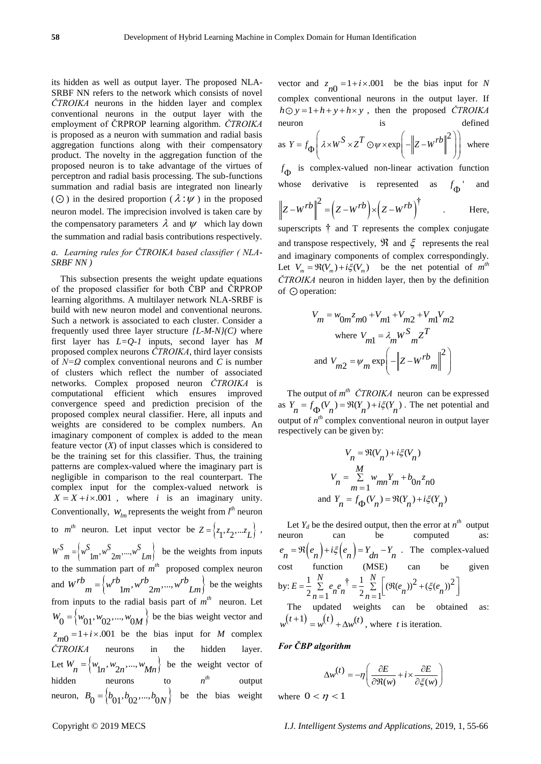its hidden as well as output layer. The proposed NLA-SRBF NN refers to the network which consists of novel *ČTROIKA* neurons in the hidden layer and complex conventional neurons in the output layer with the employment of ČRPROP learning algorithm. *ČTROIKA*  is proposed as a neuron with summation and radial basis aggregation functions along with their compensatory product. The novelty in the aggregation function of the proposed neuron is to take advantage of the virtues of perceptron and radial basis processing. The sub-functions summation and radial basis are integrated non linearly  $(Q)$  in the desired proportion  $(\lambda : \psi)$  in the proposed neuron model. The imprecision involved is taken care by the compensatory parameters  $\lambda$  and  $\psi$  which lay down the summation and radial basis contributions respectively.

# *a. Learning rules for ČTROIKA based classifier ( NLA-SRBF NN )*

This subsection presents the weight update equations of the proposed classifier for both ČBP and ČRPROP learning algorithms. A multilayer network NLA-SRBF is build with new neuron model and conventional neurons. Such a network is associated to each cluster. Consider a frequently used three layer structure  $\{L-M-N\}(C)$  where first layer has *L=Q-1* inputs, second layer has *M* proposed complex neurons *ČTROIKA*, third layer consists of *N=Ω* complex conventional neurons and *C* is number of clusters which reflect the number of associated networks. Complex proposed neuron *ČTROIKA* is computational efficient which ensures improved convergence speed and prediction precision of the proposed complex neural classifier. Here, all inputs and weights are considered to be complex numbers. An imaginary component of complex is added to the mean feature vector  $(X)$  of input classes which is considered to be the training set for this classifier. Thus, the training patterns are complex-valued where the imaginary part is negligible in comparison to the real counterpart. The complex input for the complex-valued network is  $X = X + i \times .001$ , where *i* is an imaginary unity. Conventionally,  $W_{lm}$  represents the weight from  $l^{th}$  neuron to  $m^{th}$  neuron. Let input vector be  $Z = \{z_1, z_2, ... z_L\}$ ,  $W^S_{m} = \left\{ w^S_{1m}, w^S_{2m}, ..., w^S_{Lm} \right\}$  be the weights from inputs to the summation part of  $m<sup>th</sup>$  proposed complex neuron and  $W^{rb}$   $_m = \begin{cases} w^{rb} & m^r \text{ proposed } \\ w^{rb} & m \end{cases}$  *w*<sup>rb</sup>  $_{2m},...,w^{rb}$   $_{Lm}$  *M*  $= \langle w^{rD} \, w^{rD} \, \ldots, w^{rD} \, \ldots \rangle$  be the weights from inputs to the radial basis part of  $m<sup>th</sup>$  neuron. Let  $W_0 = \langle w_{01}, w_{02}, ..., w_{0M} \rangle$  be the bias weight vector and  $z_{m0} = 1 + i \times 0.001$  be the bias input for *M* complex *ČTROIKA* neurons in the hidden layer. Let  $W_n = \{w_{1n}, w_{2n}, ..., w_{Mn}\}\)$  be the weight vector of hidden neurons to  $n^{th}$  output neuron,  $B_0 = \left\{ b_{01}, b_{02},..., b_{0N} \right\}$  be the bias weight

vector and  $z_{n0} = 1 + i \times 0.001$  be the bias input for *N* complex conventional neurons in the output layer. If  $h \odot y = 1 + h + y + h \times y$ , then the proposed *ČTROIKA* neuron is defined is define<br> $\begin{pmatrix} 1 & 0 & 0 \\ 0 & 0 & 0 \end{pmatrix}$  is  $\begin{pmatrix} 1 & 0 & 0 \\ 0 & 0 & 0 \end{pmatrix}$  in the

$$
\text{as } Y = f_{\Phi} \left( \lambda \times W^{S} \times Z^{T} \odot \psi \times \exp \left( -\left\| Z - W^{rb} \right\|^{2} \right) \right) \text{ where}
$$

 $f_{\Phi}$  is complex-valued non-linear activation function whose derivative is represented as  $f_{\Phi}$ <sup>'</sup> and

$$
\left\|Z - W^{rb}\right\|^2 = \left(Z - W^{rb}\right) \times \left(Z - W^{rb}\right)^{\dagger}
$$
 Here,

superscripts † and T represents the complex conjugate and transpose respectively,  $\Re$  and  $\xi$  represents the real and imaginary components of complex correspondingly. Let  $V_m = \Re(V_m) + i\xi(V_m)$  be the net potential of  $m<sup>th</sup>$ *ČTROIKA* neuron in hidden layer, then by the definition of  $\odot$  operation:

$$
V_m = w_{0m} z_{m0} + V_{m1} + V_{m2} + V_{m1} V_{m2}
$$
  
where  $V_{m1} = \lambda_m W^S_{m2} Z^T$   
and  $V_{m2} = \psi_m \exp\left(-\left\|Z - W^{\prime \prime} \frac{dv}{w}\right\|^2\right)$ 

The output of  $m^{th}$   $\text{CTROIKA}$  neuron can be expressed as  $Y_n = f_{\Phi}(V_n) = \Re(Y_n) + i\xi(Y_n)$ . The net potential and output of  $n^{th}$  complex conventional neuron in output layer respectively can be given by:

$$
V_n = \Re(V_n) + i\xi(V_n)
$$
  

$$
V_n = \sum_{m=1}^{M} w_{mn} Y_m + b_{0n} z_{n0}
$$
  
and 
$$
Y_n = f_{\Phi}(V_n) = \Re(Y_n) + i\xi(Y_n)
$$

Let  $Y_d$  be the desired output, then the error at  $n^{th}$  output neuron can be computed as:  $e_n = \Re(e_n) + i\xi(e_n) = Y_{dn} - Y_n$ . The complex-valued cost function (MSE) can be given cost function (MSE) can be<br>
by:  $E = \frac{1}{2} \sum_{n=1}^{N} e_n e_n^{\dagger} = \frac{1}{2} \sum_{n=1}^{N} [(\Re(e_n))^2 + (\xi(e_n))^2$  $\frac{1}{2} \sum_{n=1}^{N} e_n e_n^{\dagger} = \frac{1}{2} \sum_{n=1}^{N}$ unction  $(M_s^N)$ <br> $\frac{N}{N}$   $\frac{1}{N}$  $E = \frac{1}{2} \sum_{n=1}^{N} e_n e_n^{\dagger} = \frac{1}{2} \sum_{n=1}^{N} [(\Re(e_n))^2 + (\xi(e_n))^2]$ Function (MSE) can be give<br>  $= \frac{1}{2} \sum_{n=1}^{N} e_n e_n^{\dagger} = \frac{1}{2} \sum_{n=1}^{N} \left[ (\Re(e_n))^2 + (\xi(e_n))^2 \right]$ The updated weights can be obtained as:

 $w^{(t+1)} = w^{(t)} + \Delta w^{(t)}$ , where *t* is iteration.

## *For ČBP algorithm*

$$
\Delta w^{(t)} = -\eta \left( \frac{\partial E}{\partial \Re(w)} + i \times \frac{\partial E}{\partial \xi(w)} \right)
$$

where  $0 < \eta < 1$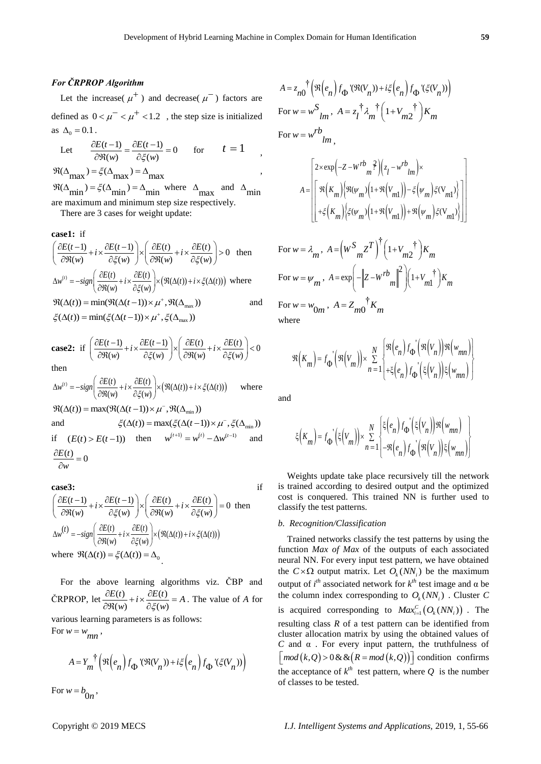# *For ČRPROP Algorithm*

Let the increase( $\mu^+$ ) and decrease( $\mu^-$ ) factors are defined as  $0 < \mu^{-} < \mu^{+} < 1.2$ , the step size is initialized as  $\Delta_0 = 0.1$ .

Let 
$$
\frac{\partial E(t-1)}{\partial \mathfrak{R}(w)} = \frac{\partial E(t-1)}{\partial \xi(w)} = 0 \quad \text{for} \quad t = 1,
$$
  

$$
\mathfrak{R}(\Delta_{\text{max}}) = \xi(\Delta_{\text{max}}) = \Delta_{\text{max}}
$$

 $\Re(\Delta_{\min}) = \xi(\Delta_{\min}) = \Delta_{\min}$  where  $\Delta_{\max}$  and  $\Delta_{\min}$ are maximum and minimum step size respectively.

There are 3 cases for weight update:

**case1:** if  
\n
$$
\left(\frac{\partial E(t-1)}{\partial \Re(w)} + i \times \frac{\partial E(t-1)}{\partial \xi(w)}\right) \times \left(\frac{\partial E(t)}{\partial \Re(w)} + i \times \frac{\partial E(t)}{\partial \xi(w)}\right) > 0 \text{ then}
$$
\n
$$
\Delta w^{(t)} = -sign\left(\frac{\partial E(t)}{\partial \Re(w)} + i \times \frac{\partial E(t)}{\partial \xi(w)}\right) \times \left(\Re(\Delta(t)) + i \times \xi(\Delta(t))\right) \text{ where}
$$
\n
$$
\Re(\Delta(t)) = min(\Re(\Delta(t-1)) \times \mu^+, \Re(\Delta_{\text{max}})) \text{ and}
$$
\n
$$
\xi(\Delta(t)) = min(\xi(\Delta(t-1)) \times \mu^+, \xi(\Delta_{\text{max}}))
$$

**case2:** if 
$$
\left(\frac{\partial E(t-1)}{\partial \Re(w)} + i \times \frac{\partial E(t-1)}{\partial \xi(w)}\right) \times \left(\frac{\partial E(t)}{\partial \Re(w)} + i \times \frac{\partial E(t)}{\partial \xi(w)}\right) < 0
$$
  
then

then  
\n
$$
\Delta w^{(t)} = -sign\left(\frac{\partial E(t)}{\partial \Re(w)} + i \times \frac{\partial E(t)}{\partial \xi(w)}\right) \times (\Re(\Delta(t)) + i \times \xi(\Delta(t))) \quad \text{where}
$$
\n
$$
\Re(\Delta(t)) = max(\Re(\Delta(t-1)) \times \mu^{-}, \Re(\Delta_{min}))
$$

and  $\xi(\Delta(t)) = \max(\xi(\Delta(t-1)) \times \mu^{-}, \xi(\Delta_{\min}))$ if  $(E(t) > E(t-1))$  then  $w^{(t+1)} = w^{(t)} - \Delta w^{(t-1)}$  and  $\frac{E(t)}{2} = 0$  $\frac{\partial E(t)}{\partial w} =$ 

$$
\partial{w}
$$

**case3:**  
\n
$$
\left(\frac{\partial E(t-1)}{\partial \Re(w)} + i \times \frac{\partial E(t-1)}{\partial \xi(w)}\right) \times \left(\frac{\partial E(t)}{\partial \Re(w)} + i \times \frac{\partial E(t)}{\partial \xi(w)}\right) = 0 \text{ then}
$$
\n
$$
\Delta w^{(t)} = -sign\left(\frac{\partial E(t)}{\partial \Re(w)} + i \times \frac{\partial E(t)}{\partial \xi(w)}\right) \times \left(\Re(\Delta(t)) + i \times \xi(\Delta(t))\right)
$$
\nwhere  $\Re(\Delta(t)) = \xi(\Delta(t)) = \Delta_0$ 

For the above learning algorithms viz. ČBP and ČRPROP, let  $\frac{\partial E(t)}{\partial x} + i \times \frac{\partial E(t)}{\partial x}$  $\frac{dE(t)}{dtR(w)} + i \times \frac{\partial E(t)}{\partial \xi(w)} = A$  $\frac{\partial E(t)}{\partial \Re(w)} + i \times \frac{\partial E(t)}{\partial \xi(w)} = A$ . The value of *A* for various learning parameters is as follows: For  $w = w_{mn}$ ,

$$
A = Y_m^{\dagger} \left( \Re \left( e_n \right) f_{\Phi}^{\dagger} (\Re(V_n)) + i \xi \left( e_n \right) f_{\Phi}^{\dagger} (\xi(V_n)) \right)
$$

For  $w = b_{0n}$ ,

$$
A = z_{n0} \uparrow \left( \mathfrak{R}\left(e_n\right) f_{\Phi} \left( \mathfrak{R}(V_n) \right) + i\xi \left( e_n \right) f_{\Phi} \left( \xi(V_n) \right) \right)
$$
  
For  $w = w^S_{lm}$ ,  $A = z_l^{\dagger} \lambda_m^{\dagger} \left( 1 + V_{m2}^{\dagger} \right) K_m$   
For  $w = w^{rb}_{lm}$ ,

$$
A = \begin{bmatrix} 2 \times \exp\left(-Z - W^{rb} \frac{2}{m}\right) \left(z_l - w^{rb} \frac{1}{l m}\right) \times \\ \exp\left[\Re\left(K_m\right) \left(\Re(\psi_m)\left(1 + \Re\left(V_{m1}\right)\right) - \xi\left(\psi_m\right) \xi(V_{m1})\right) \right] \\ + \xi \left(K_m\right) \left(\xi(\psi_m)\left(1 + \Re\left(V_{m1}\right)\right) + \Re\left(\psi_m\right) \xi(V_{m1})\right)\right] \end{bmatrix}
$$

For 
$$
w = \lambda_m
$$
,  $A = (W \frac{S}{mZ} T)^{\dagger} (1 + V_{m2}^{\dagger}) K_m$   
\nFor  $w = \psi_m$ ,  $A = \exp\left(-\left\|Z - W^{rb} \right\|^{2}\right) (1 + V_{m1}^{\dagger}) K_m$   
\nFor  $w = w_{0m}$ ,  $A = Z_{m0}^{\dagger} K_m$   
\nwhere

$$
\Re\left(K_{m}\right) = f_{\Phi}\left(\Re\left(V_{m}\right)\right) \times \sum_{n=1}^{N} \left\{\Re\left(e_{n}\right) f_{\Phi}\left(\Re\left(V_{n}\right)\right) \Re\left(w_{mn}\right)\right\} \n+ \xi\left(e_{n}\right) f_{\Phi}\left(\xi\left(V_{n}\right)\right) \xi\left(w_{mn}\right)
$$

and

$$
\xi\Big(K_m\Big)=f_{\Phi}\Big(\xi\Big(V_m\Big)\Big)\times\sum_{n=1}^N\begin{bmatrix}\xi\Big(e_n\Big)f_{\Phi}\Big(\xi\Big(V_n\Big)\Big)\Re\Big(w_{mn}\Big)\\-\Re\Big(e_n\Big)f_{\Phi}\Big(\Re\Big(V_n\Big)\Big)\xi\Big(w_{mn}\Big)\end{bmatrix}
$$

Weights update take place recursively till the network is trained according to desired output and the optimized cost is conquered. This trained NN is further used to classify the test patterns.

## *b. Recognition/Classification*

Trained networks classify the test patterns by using the function *Max of Max* of the outputs of each associated neural NN. For every input test pattern, we have obtained the  $C \times \Omega$  output matrix. Let  $O_k(NN_i)$  be the maximum output of  $i<sup>th</sup>$  associated network for  $k<sup>th</sup>$  test image and α be the column index corresponding to  $O_k(NN_i)$ . Cluster C is acquired corresponding to  $Max_{i=1}^{C} (O_k(NN_i))$ . The resulting class *R* of a test pattern can be identified from cluster allocation matrix by using the obtained values of *C* and α . For every input pattern, the truthfulness of *C* and  $\alpha$ . For every input pattern, the truth diffuse of  $\left[ \mod(k, Q) \right]$  condition confirms the acceptance of  $k^{th}$  test pattern, where Q is the number of classes to be tested.

J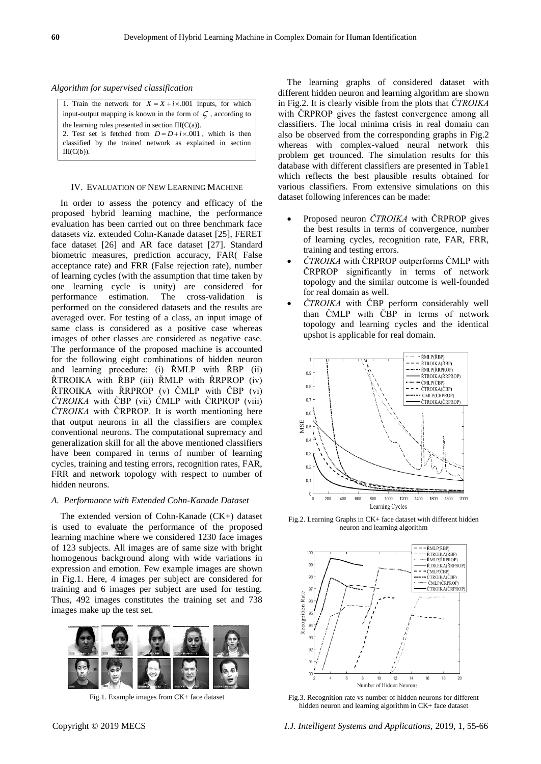*Algorithm for supervised classification* 

| 1. Train the network for $X = X + i \times 0.001$ inputs, for which  |
|----------------------------------------------------------------------|
| input-output mapping is known in the form of $\zeta$ , according to  |
| the learning rules presented in section $III(C(a))$ .                |
| 2. Test set is fetched from $D = D + i \times 0.001$ , which is then |
| classified by the trained network as explained in section            |
| $III(C(b))$ .                                                        |

#### IV. EVALUATION OF NEW LEARNING MACHINE

In order to assess the potency and efficacy of the proposed hybrid learning machine, the performance evaluation has been carried out on three benchmark face datasets viz. extended Cohn-Kanade dataset [25], FERET face dataset [26] and AR face dataset [27]. Standard biometric measures, prediction accuracy, FAR( False acceptance rate) and FRR (False rejection rate), number of learning cycles (with the assumption that time taken by one learning cycle is unity) are considered for performance estimation. The cross-validation is performed on the considered datasets and the results are averaged over. For testing of a class, an input image of same class is considered as a positive case whereas images of other classes are considered as negative case. The performance of the proposed machine is accounted for the following eight combinations of hidden neuron and learning procedure: (i) ŘMLP with ŘBP (ii) ŘTROIKA with ŘBP (iii) ŘMLP with ŘRPROP (iv) ŘTROIKA with ŘRPROP (v) ČMLP with ČBP (vi) *ČTROIKA* with ČBP (vii) ČMLP with ČRPROP (viii) *ČTROIKA* with ČRPROP. It is worth mentioning here that output neurons in all the classifiers are complex conventional neurons. The computational supremacy and generalization skill for all the above mentioned classifiers have been compared in terms of number of learning cycles, training and testing errors, recognition rates, FAR, FRR and network topology with respect to number of hidden neurons.

#### *A. Performance with Extended Cohn-Kanade Dataset*

The extended version of Cohn-Kanade (CK+) dataset is used to evaluate the performance of the proposed learning machine where we considered 1230 face images of 123 subjects. All images are of same size with bright homogenous background along with wide variations in expression and emotion. Few example images are shown in Fig.1. Here, 4 images per subject are considered for training and 6 images per subject are used for testing. Thus, 492 images constitutes the training set and 738 images make up the test set.



Fig.1. Example images from CK+ face dataset

The learning graphs of considered dataset with different hidden neuron and learning algorithm are shown in Fig.2. It is clearly visible from the plots that *ČTROIKA* with ČRPROP gives the fastest convergence among all classifiers. The local minima crisis in real domain can also be observed from the corresponding graphs in Fig.2 whereas with complex-valued neural network this problem get trounced. The simulation results for this database with different classifiers are presented in Table1 which reflects the best plausible results obtained for various classifiers. From extensive simulations on this dataset following inferences can be made:

- Proposed neuron *ČTROIKA* with ČRPROP gives the best results in terms of convergence, number of learning cycles, recognition rate, FAR, FRR, training and testing errors.
- *ČTROIKA* with ČRPROP outperforms ČMLP with ČRPROP significantly in terms of network topology and the similar outcome is well-founded for real domain as well.
- *ČTROIKA* with ČBP perform considerably well than ČMLP with ČBP in terms of network topology and learning cycles and the identical upshot is applicable for real domain.



Fig.2. Learning Graphs in CK+ face dataset with different hidden neuron and learning algorithm



Fig.3. Recognition rate vs number of hidden neurons for different hidden neuron and learning algorithm in CK+ face dataset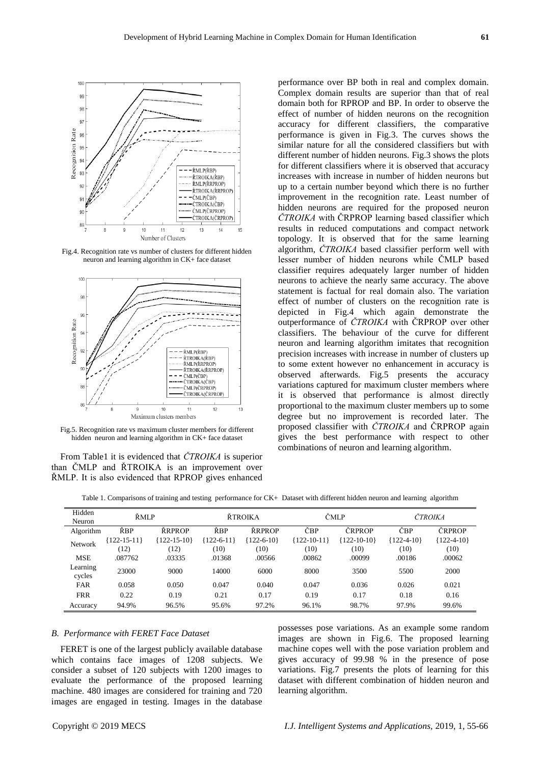

Fig.4. Recognition rate vs number of clusters for different hidden neuron and learning algorithm in CK+ face dataset



Fig.5. Recognition rate vs maximum cluster members for different hidden neuron and learning algorithm in CK+ face dataset

From Table1 it is evidenced that *ČTROIKA* is superior than ČMLP and ŘTROIKA is an improvement over ŘMLP. It is also evidenced that RPROP gives enhanced

performance over BP both in real and complex domain. Complex domain results are superior than that of real domain both for RPROP and BP. In order to observe the effect of number of hidden neurons on the recognition accuracy for different classifiers, the comparative performance is given in Fig.3. The curves shows the similar nature for all the considered classifiers but with different number of hidden neurons. Fig.3 shows the plots for different classifiers where it is observed that accuracy increases with increase in number of hidden neurons but up to a certain number beyond which there is no further improvement in the recognition rate. Least number of hidden neurons are required for the proposed neuron *ČTROIKA* with ČRPROP learning based classifier which results in reduced computations and compact network topology. It is observed that for the same learning algorithm, *ČTROIKA* based classifier perform well with lesser number of hidden neurons while ČMLP based classifier requires adequately larger number of hidden neurons to achieve the nearly same accuracy. The above statement is factual for real domain also. The variation effect of number of clusters on the recognition rate is depicted in Fig.4 which again demonstrate the outperformance of *ČTROIKA* with ČRPROP over other classifiers. The behaviour of the curve for different neuron and learning algorithm imitates that recognition precision increases with increase in number of clusters up to some extent however no enhancement in accuracy is observed afterwards. Fig.5 presents the accuracy variations captured for maximum cluster members where it is observed that performance is almost directly proportional to the maximum cluster members up to some degree but no improvement is recorded later. The proposed classifier with *ČTROIKA* and ČRPROP again gives the best performance with respect to other combinations of neuron and learning algorithm.

Table 1. Comparisons of training and testing performance for CK+ Dataset with different hidden neuron and learning algorithm

| Hidden<br>Neuron   | ŘMLP            |               | ŘTROIKA      |              | ČMLP            |                 | ČTROIKA        |              |
|--------------------|-----------------|---------------|--------------|--------------|-----------------|-----------------|----------------|--------------|
| Algorithm          | ŘBP             | ŘRPROP        | ŘBP          | ŘRPROP       | ČBP             | ČRPROP          | ČBP            | ČRPROP       |
| <b>Network</b>     | $122 - 15 - 11$ | ${122-15-10}$ | ${122-6-11}$ | ${122-6-10}$ | $122 - 10 - 11$ | $122 - 10 - 10$ | $122 - 4 - 10$ | ${122-4-10}$ |
|                    | (12)            | (12)          | (10)         | (10)         | (10)            | (10)            | (10)           | (10)         |
| <b>MSE</b>         | .087762         | .03335        | .01368       | .00566       | .00862          | .00099          | .00186         | .00062       |
| Learning<br>cycles | 23000           | 9000          | 14000        | 6000         | 8000            | 3500            | 5500           | 2000         |
| <b>FAR</b>         | 0.058           | 0.050         | 0.047        | 0.040        | 0.047           | 0.036           | 0.026          | 0.021        |
| <b>FRR</b>         | 0.22            | 0.19          | 0.21         | 0.17         | 0.19            | 0.17            | 0.18           | 0.16         |
| Accuracy           | 94.9%           | 96.5%         | 95.6%        | 97.2%        | 96.1%           | 98.7%           | 97.9%          | 99.6%        |

#### *B. Performance with FERET Face Dataset*

FERET is one of the largest publicly available database which contains face images of 1208 subjects. We consider a subset of 120 subjects with 1200 images to evaluate the performance of the proposed learning machine. 480 images are considered for training and 720 images are engaged in testing. Images in the database possesses pose variations. As an example some random images are shown in Fig.6. The proposed learning machine copes well with the pose variation problem and gives accuracy of 99.98 % in the presence of pose variations. Fig.7 presents the plots of learning for this dataset with different combination of hidden neuron and learning algorithm.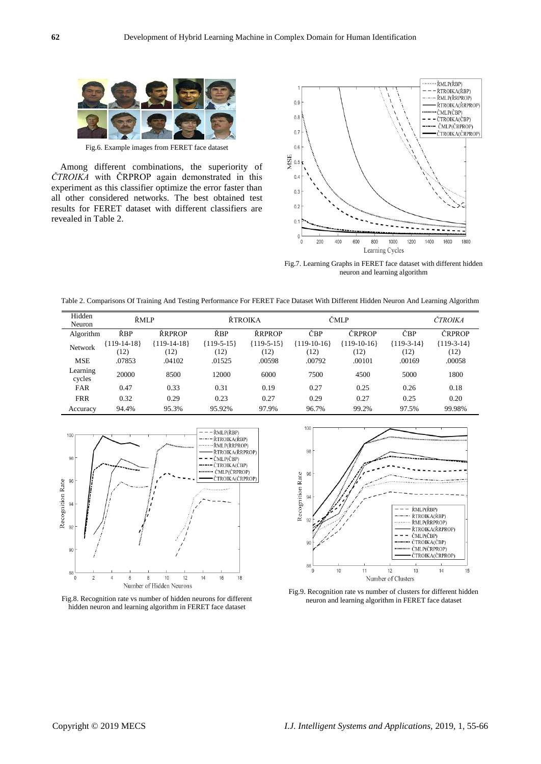

Fig.6. Example images from FERET face dataset

Among different combinations, the superiority of *ČTROIKA* with ČRPROP again demonstrated in this experiment as this classifier optimize the error faster than all other considered networks. The best obtained test results for FERET dataset with different classifiers are revealed in Table 2.



Fig.7. Learning Graphs in FERET face dataset with different hidden neuron and learning algorithm



| Hidden<br>Neuron   | ŘMLP                  |                       | ŘTROIKA              |                      | ČMLP                  |                       | ČTROJKA              |                      |
|--------------------|-----------------------|-----------------------|----------------------|----------------------|-----------------------|-----------------------|----------------------|----------------------|
| Algorithm          | ŘBP                   | ŘRPROP                | ŘBP                  | ŘRPROP               | ČBP                   | ČRPROP                | ČBP                  | ČRPROP               |
| <b>Network</b>     | ${119-14-18}$<br>(12) | ${119-14-18}$<br>(12) | ${119-5-15}$<br>(12) | ${119-5-15}$<br>(12) | ${119-10-16}$<br>(12) | ${119-10-16}$<br>(12) | ${119-3-14}$<br>(12) | ${119-3-14}$<br>(12) |
| <b>MSE</b>         | .07853                | .04102                | .01525               | .00598               | .00792                | .00101                | .00169               | .00058               |
| Learning<br>cycles | 20000                 | 8500                  | 12000                | 6000                 | 7500                  | 4500                  | 5000                 | 1800                 |
| <b>FAR</b>         | 0.47                  | 0.33                  | 0.31                 | 0.19                 | 0.27                  | 0.25                  | 0.26                 | 0.18                 |
| <b>FRR</b>         | 0.32                  | 0.29                  | 0.23                 | 0.27                 | 0.29                  | 0.27                  | 0.25                 | 0.20                 |
| Accuracy           | 94.4%                 | 95.3%                 | 95.92%               | 97.9%                | 96.7%                 | 99.2%                 | 97.5%                | 99.98%               |







Fig.9. Recognition rate vs number of clusters for different hidden neuron and learning algorithm in FERET face dataset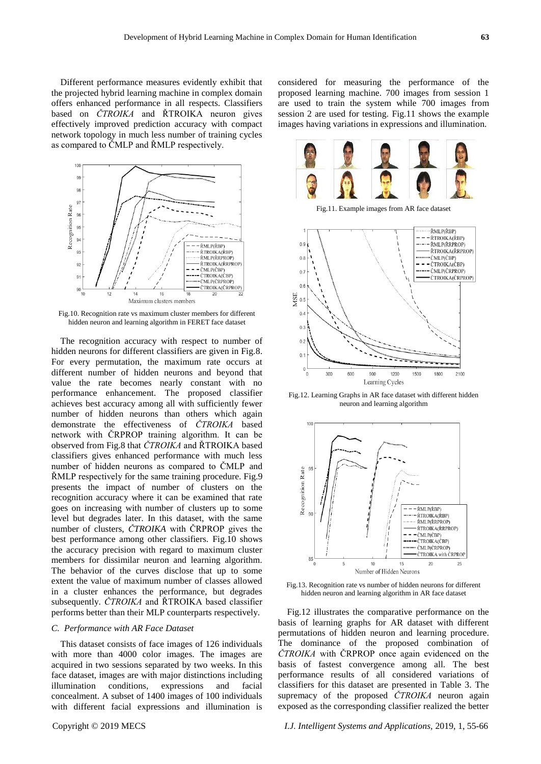Different performance measures evidently exhibit that the projected hybrid learning machine in complex domain offers enhanced performance in all respects. Classifiers based on *ČTROIKA* and ŘTROIKA neuron gives effectively improved prediction accuracy with compact network topology in much less number of training cycles as compared to ČMLP and ŘMLP respectively.



Fig.10. Recognition rate vs maximum cluster members for different hidden neuron and learning algorithm in FERET face dataset

The recognition accuracy with respect to number of hidden neurons for different classifiers are given in Fig.8. For every permutation, the maximum rate occurs at different number of hidden neurons and beyond that value the rate becomes nearly constant with no performance enhancement. The proposed classifier achieves best accuracy among all with sufficiently fewer number of hidden neurons than others which again demonstrate the effectiveness of *ČTROIKA* based network with ČRPROP training algorithm. It can be observed from Fig.8 that *ČTROIKA* and ŘTROIKA based classifiers gives enhanced performance with much less number of hidden neurons as compared to ČMLP and ŘMLP respectively for the same training procedure. Fig.9 presents the impact of number of clusters on the recognition accuracy where it can be examined that rate goes on increasing with number of clusters up to some level but degrades later. In this dataset, with the same number of clusters, *ČTROIKA* with ČRPROP gives the best performance among other classifiers. Fig.10 shows the accuracy precision with regard to maximum cluster members for dissimilar neuron and learning algorithm. The behavior of the curves disclose that up to some extent the value of maximum number of classes allowed in a cluster enhances the performance, but degrades subsequently. *ČTROIKA* and ŘTROIKA based classifier performs better than their MLP counterparts respectively.

## *C. Performance with AR Face Dataset*

This dataset consists of face images of 126 individuals with more than 4000 color images. The images are acquired in two sessions separated by two weeks. In this face dataset, images are with major distinctions including illumination conditions, expressions and facial concealment. A subset of 1400 images of 100 individuals with different facial expressions and illumination is considered for measuring the performance of the proposed learning machine. 700 images from session 1 are used to train the system while 700 images from session 2 are used for testing. Fig.11 shows the example images having variations in expressions and illumination.



Fig.11. Example images from AR face dataset



Fig.12. Learning Graphs in AR face dataset with different hidden neuron and learning algorithm



Fig.13. Recognition rate vs number of hidden neurons for different hidden neuron and learning algorithm in AR face dataset

Fig.12 illustrates the comparative performance on the basis of learning graphs for AR dataset with different permutations of hidden neuron and learning procedure. The dominance of the proposed combination of *ČTROIKA* with ČRPROP once again evidenced on the basis of fastest convergence among all. The best performance results of all considered variations of classifiers for this dataset are presented in Table 3. The supremacy of the proposed *ČTROIKA* neuron again exposed as the corresponding classifier realized the better

Copyright © 2019 MECS *I.J. Intelligent Systems and Applications,* 2019, 1, 55-66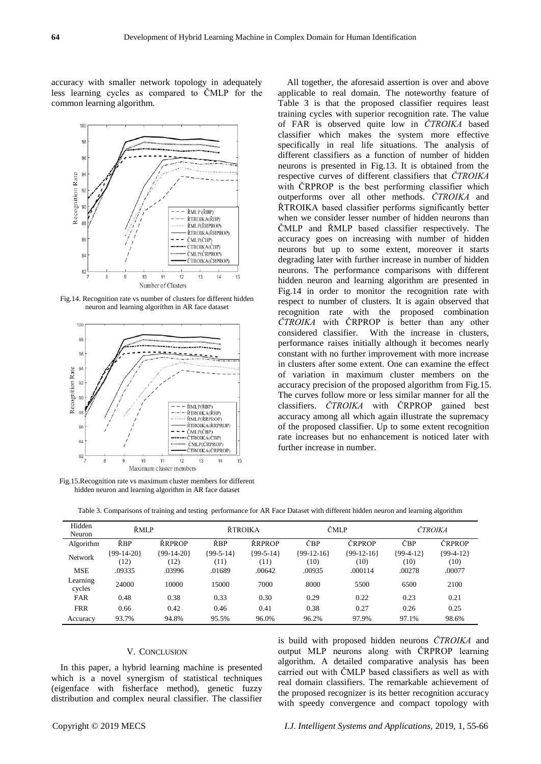accuracy with smaller network topology in adequately less learning cycles as compared to ČMLP for the common learning algorithm.



Fig.14. Recognition rate vs number of clusters for different hidden neuron and learning algorithm in AR face dataset



Fig.15.Recognition rate vs maximum cluster members for different hidden neuron and learning algorithm in AR face dataset

All together, the aforesaid assertion is over and above applicable to real domain. The noteworthy feature of Table 3 is that the proposed classifier requires least training cycles with superior recognition rate. The value of FAR is observed quite low in *ČTROIKA* based classifier which makes the system more effective specifically in real life situations. The analysis of different classifiers as a function of number of hidden neurons is presented in Fig.13. It is obtained from the respective curves of different classifiers that *ČTROIKA* with ČRPROP is the best performing classifier which outperforms over all other methods. *ČTROIKA* and ŘTROIKA based classifier performs significantly better when we consider lesser number of hidden neurons than ČMLP and ŘMLP based classifier respectively. The accuracy goes on increasing with number of hidden neurons but up to some extent, moreover it starts degrading later with further increase in number of hidden neurons. The performance comparisons with different hidden neuron and learning algorithm are presented in Fig.14 in order to monitor the recognition rate with respect to number of clusters. It is again observed that recognition rate with the proposed combination *ČTROIKA* with ČRPROP is better than any other considered classifier. With the increase in clusters, performance raises initially although it becomes nearly constant with no further improvement with more increase in clusters after some extent. One can examine the effect of variation in maximum cluster members on the accuracy precision of the proposed algorithm from Fig.15. The curves follow more or less similar manner for all the classifiers. *ČTROIKA* with ČRPROP gained best accuracy among all which again illustrate the supremacy of the proposed classifier. Up to some extent recognition rate increases but no enhancement is noticed later with further increase in number.

Table 3. Comparisons of training and testing performance for AR Face Dataset with different hidden neuron and learning algorithm

| Hidden<br>Neuron   | ŘMLP                 |                      | ŘTROIKA             |                     | ČMLP                 |                      | ČTROIKA             |                     |
|--------------------|----------------------|----------------------|---------------------|---------------------|----------------------|----------------------|---------------------|---------------------|
| Algorithm          | ŘBP                  | <b>RRPROP</b>        | ŘBP                 | ŘRPROP              | ČBP                  | <b>CRPROP</b>        | ČBP                 | ČRPROP              |
| Network            | ${99-14-20}$<br>(12) | ${99-14-20}$<br>(12) | ${99-5-14}$<br>(11) | ${99-5-14}$<br>(11) | ${99-12-16}$<br>(10) | ${99-12-16}$<br>(10) | ${99-4-12}$<br>(10) | ${99-4-12}$<br>(10) |
| <b>MSE</b>         | .09335               | .03996               | .01689              | .00642              | .00935               | .000114              | .00278              | .00077              |
| Learning<br>cycles | 24000                | 10000                | 15000               | 7000                | 8000                 | 5500                 | 6500                | 2100                |
| <b>FAR</b>         | 0.48                 | 0.38                 | 0.33                | 0.30                | 0.29                 | 0.22                 | 0.23                | 0.21                |
| <b>FRR</b>         | 0.66                 | 0.42                 | 0.46                | 0.41                | 0.38                 | 0.27                 | 0.26                | 0.25                |
| Accuracy           | 93.7%                | 94.8%                | 95.5%               | 96.0%               | 96.2%                | 97.9%                | 97.1%               | 98.6%               |

## V. CONCLUSION

In this paper, a hybrid learning machine is presented which is a novel synergism of statistical techniques (eigenface with fisherface method), genetic fuzzy distribution and complex neural classifier. The classifier is build with proposed hidden neurons *ČTROIKA* and output MLP neurons along with ČRPROP learning algorithm. A detailed comparative analysis has been carried out with ČMLP based classifiers as well as with real domain classifiers. The remarkable achievement of the proposed recognizer is its better recognition accuracy with speedy convergence and compact topology with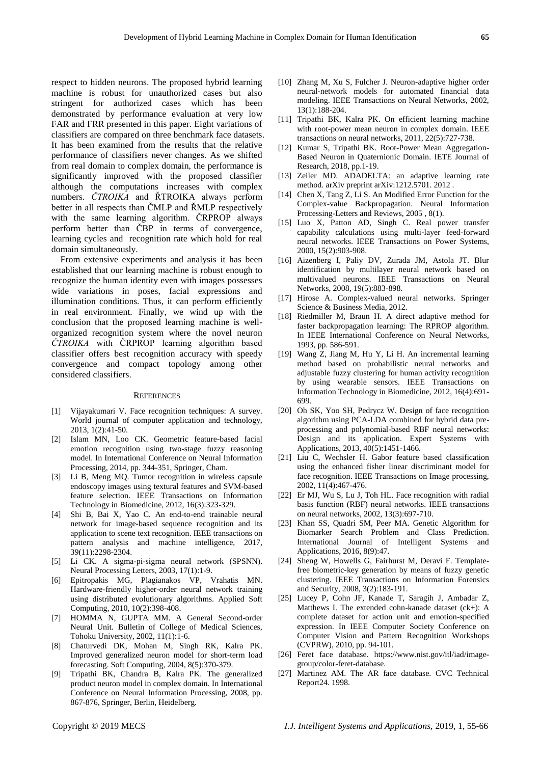respect to hidden neurons. The proposed hybrid learning machine is robust for unauthorized cases but also stringent for authorized cases which has been demonstrated by performance evaluation at very low FAR and FRR presented in this paper. Eight variations of classifiers are compared on three benchmark face datasets. It has been examined from the results that the relative performance of classifiers never changes. As we shifted from real domain to complex domain, the performance is significantly improved with the proposed classifier although the computations increases with complex numbers. *ČTROIKA* and ŘTROIKA always perform better in all respects than ČMLP and ŘMLP respectively with the same learning algorithm. CRPROP always perform better than ČBP in terms of convergence, learning cycles and recognition rate which hold for real domain simultaneously.

From extensive experiments and analysis it has been established that our learning machine is robust enough to recognize the human identity even with images possesses wide variations in poses, facial expressions and illumination conditions. Thus, it can perform efficiently in real environment. Finally, we wind up with the conclusion that the proposed learning machine is wellorganized recognition system where the novel neuron *ČTROIKA* with ČRPROP learning algorithm based classifier offers best recognition accuracy with speedy convergence and compact topology among other considered classifiers.

#### **REFERENCES**

- [1] Vijayakumari V. Face recognition techniques: A survey. World journal of computer application and technology, 2013, 1(2):41-50.
- [2] Islam MN, Loo CK. Geometric feature-based facial emotion recognition using two-stage fuzzy reasoning model. In International Conference on Neural Information Processing, 2014, pp. 344-351, Springer, Cham.
- [3] Li B, Meng MQ. Tumor recognition in wireless capsule endoscopy images using textural features and SVM-based feature selection. IEEE Transactions on Information Technology in Biomedicine, 2012, 16(3):323-329.
- [4] Shi B, Bai X, Yao C. An end-to-end trainable neural network for image-based sequence recognition and its application to scene text recognition. IEEE transactions on pattern analysis and machine intelligence, 2017, 39(11):2298-2304.
- [5] Li CK. A sigma-pi-sigma neural network (SPSNN). Neural Processing Letters, 2003, 17(1):1-9.
- [6] Epitropakis MG, Plagianakos VP, Vrahatis MN. Hardware-friendly higher-order neural network training using distributed evolutionary algorithms. Applied Soft Computing, 2010, 10(2):398-408.
- [7] HOMMA N, GUPTA MM. A General Second-order Neural Unit. Bulletin of College of Medical Sciences, Tohoku University, 2002, 11(1):1-6.
- [8] Chaturvedi DK, Mohan M, Singh RK, Kalra PK. Improved generalized neuron model for short-term load forecasting. Soft Computing, 2004, 8(5):370-379.
- [9] Tripathi BK, Chandra B, Kalra PK. The generalized product neuron model in complex domain. In International Conference on Neural Information Processing, 2008, pp. 867-876, Springer, Berlin, Heidelberg.
- [10] Zhang M, Xu S, Fulcher J. Neuron-adaptive higher order neural-network models for automated financial data modeling. IEEE Transactions on Neural Networks, 2002, 13(1):188-204.
- [11] Tripathi BK, Kalra PK. On efficient learning machine with root-power mean neuron in complex domain. IEEE transactions on neural networks, 2011, 22(5):727-738.
- [12] Kumar S, Tripathi BK. Root-Power Mean Aggregation-Based Neuron in Quaternionic Domain. IETE Journal of Research, 2018, pp.1-19.
- [13] Zeiler MD. ADADELTA: an adaptive learning rate method. arXiv preprint arXiv:1212.5701. 2012 .
- [14] Chen X, Tang Z, Li S. An Modified Error Function for the Complex-value Backpropagation. Neural Information Processing-Letters and Reviews, 2005 , 8(1).
- [15] Luo X, Patton AD, Singh C. Real power transfer capability calculations using multi-layer feed-forward neural networks. IEEE Transactions on Power Systems, 2000, 15(2):903-908.
- [16] Aizenberg I, Paliy DV, Zurada JM, Astola JT. Blur identification by multilayer neural network based on multivalued neurons. IEEE Transactions on Neural Networks, 2008, 19(5):883-898.
- [17] Hirose A. Complex-valued neural networks. Springer Science & Business Media, 2012.
- [18] Riedmiller M, Braun H. A direct adaptive method for faster backpropagation learning: The RPROP algorithm. In IEEE International Conference on Neural Networks, 1993, pp. 586-591.
- [19] Wang Z, Jiang M, Hu Y, Li H. An incremental learning method based on probabilistic neural networks and adjustable fuzzy clustering for human activity recognition by using wearable sensors. IEEE Transactions on Information Technology in Biomedicine, 2012, 16(4):691- 699.
- [20] Oh SK, Yoo SH, Pedrycz W. Design of face recognition algorithm using PCA-LDA combined for hybrid data preprocessing and polynomial-based RBF neural networks: Design and its application. Expert Systems with Applications, 2013, 40(5):1451-1466.
- [21] Liu C, Wechsler H. Gabor feature based classification using the enhanced fisher linear discriminant model for face recognition. IEEE Transactions on Image processing, 2002, 11(4):467-476.
- [22] Er MJ, Wu S, Lu J, Toh HL. Face recognition with radial basis function (RBF) neural networks. IEEE transactions on neural networks, 2002, 13(3):697-710.
- [23] Khan SS, Quadri SM, Peer MA. Genetic Algorithm for Biomarker Search Problem and Class Prediction. International Journal of Intelligent Systems and Applications, 2016, 8(9):47.
- [24] Sheng W, Howells G, Fairhurst M, Deravi F. Templatefree biometric-key generation by means of fuzzy genetic clustering. IEEE Transactions on Information Forensics and Security, 2008, 3(2):183-191.
- [25] Lucey P, Cohn JF, Kanade T, Saragih J, Ambadar Z, Matthews I. The extended cohn-kanade dataset (ck+): A complete dataset for action unit and emotion-specified expression. In IEEE Computer Society Conference on Computer Vision and Pattern Recognition Workshops (CVPRW), 2010, pp. 94-101.
- [26] Feret face database. https://www.nist.gov/itl/iad/imagegroup/color-feret-database.
- [27] Martinez AM. The AR face database. CVC Technical Report24. 1998.